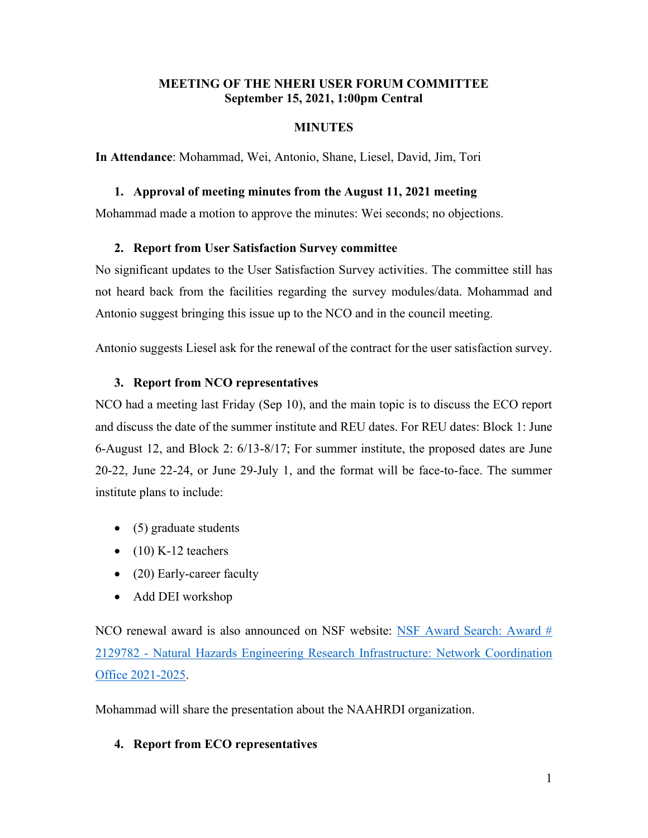## **MEETING OF THE NHERI USER FORUM COMMITTEE September 15, 2021, 1:00pm Central**

### **MINUTES**

**In Attendance**: Mohammad, Wei, Antonio, Shane, Liesel, David, Jim, Tori

#### **1. Approval of meeting minutes from the August 11, 2021 meeting**

Mohammad made a motion to approve the minutes: Wei seconds; no objections.

## **2. Report from User Satisfaction Survey committee**

No significant updates to the User Satisfaction Survey activities. The committee still has not heard back from the facilities regarding the survey modules/data. Mohammad and Antonio suggest bringing this issue up to the NCO and in the council meeting.

Antonio suggests Liesel ask for the renewal of the contract for the user satisfaction survey.

## **3. Report from NCO representatives**

NCO had a meeting last Friday (Sep 10), and the main topic is to discuss the ECO report and discuss the date of the summer institute and REU dates. For REU dates: Block 1: June 6-August 12, and Block 2: 6/13-8/17; For summer institute, the proposed dates are June 20-22, June 22-24, or June 29-July 1, and the format will be face-to-face. The summer institute plans to include:

- (5) graduate students
- $\bullet$  (10) K-12 teachers
- (20) Early-career faculty
- Add DEI workshop

NCO renewal award is also announced on NSF website: [NSF Award Search: Award #](https://www.nsf.gov/awardsearch/showAward?AWD_ID=2129782)  2129782 - [Natural Hazards Engineering Research Infrastructure: Network Coordination](https://www.nsf.gov/awardsearch/showAward?AWD_ID=2129782)  [Office 2021-2025.](https://www.nsf.gov/awardsearch/showAward?AWD_ID=2129782)

Mohammad will share the presentation about the NAAHRDI organization.

# **4. Report from ECO representatives**